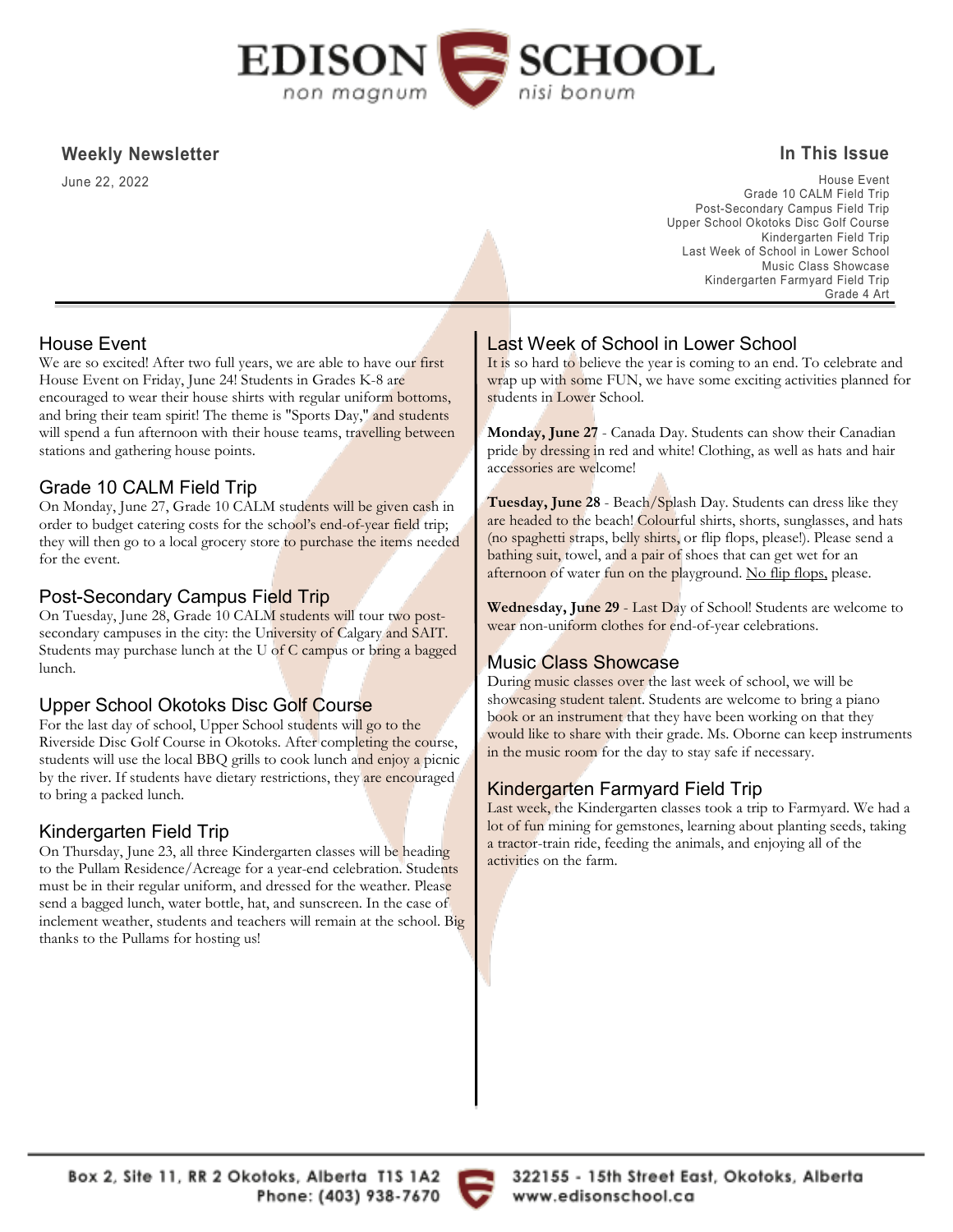

### **Weekly Newsletter**

June 22, 2022

### **In This Issue**

House Event Grade 10 CALM Field Trip Post-Secondary Campus Field Trip Upper School Okotoks Disc Golf Course Kindergarten Field Trip Last Week of School in Lower School Music Class Showcase Kindergarten Farmyard Field Trip Grade 4 Art

### House Event

We are so excited! After two full years, we are able to have our first House Event on Friday, June 24! Students in Grades K-8 are encouraged to wear their house shirts with regular uniform bottoms, and bring their team spirit! The theme is "Sports Day," and students will spend a fun afternoon with their house teams, travelling between stations and gathering house points.

### Grade 10 CALM Field Trip

On Monday, June 27, Grade 10 CALM students will be given cash in order to budget catering costs for the school's end-of-year field trip; they will then go to a local grocery store to purchase the items needed for the event.

### Post-Secondary Campus Field Trip

On Tuesday, June 28, Grade 10 CALM students will tour two postsecondary campuses in the city: the University of Calgary and SAIT. Students may purchase lunch at the U of C campus or bring a bagged lunch.

## Upper School Okotoks Disc Golf Course

For the last day of school, Upper School students will go to the Riverside Disc Golf Course in Okotoks. After completing the course, students will use the local BBQ grills to cook lunch and enjoy a picnic by the river. If students have dietary restrictions, they are encouraged to bring a packed lunch.

## Kindergarten Field Trip

On Thursday, June 23, all three Kindergarten classes will be heading to the Pullam Residence/Acreage for a year-end celebration. Students must be in their regular uniform, and dressed for the weather. Please send a bagged lunch, water bottle, hat, and sunscreen. In the case of inclement weather, students and teachers will remain at the school. Big thanks to the Pullams for hosting us!

# Last Week of School in Lower School

It is so hard to believe the year is coming to an end. To celebrate and wrap up with some FUN, we have some exciting activities planned for students in Lower School.

**Monday, June 27** - Canada Day. Students can show their Canadian pride by dressing in red and white! Clothing, as well as hats and hair accessories are welcome!

**Tuesday, June 28** - Beach/Splash Day. Students can dress like they are headed to the beach! Colourful shirts, shorts, sunglasses, and hats (no spaghetti straps, belly shirts, or flip flops, please!). Please send a bathing suit, towel, and a pair of shoes that can get wet for an afternoon of water fun on the playground. No flip flops, please.

**Wednesday, June 29** - Last Day of School! Students are welcome to wear non-uniform clothes for end-of-year celebrations.

## Music Class Showcase

During music classes over the last week of school, we will be showcasing student talent. Students are welcome to bring a piano book or an instrument that they have been working on that they would like to share with their grade. Ms. Oborne can keep instruments in the music room for the day to stay safe if necessary.

### Kindergarten Farmyard Field Trip

Last week, the Kindergarten classes took a trip to Farmyard. We had a lot of fun mining for gemstones, learning about planting seeds, taking a tractor-train ride, feeding the animals, and enjoying all of the activities on the farm.